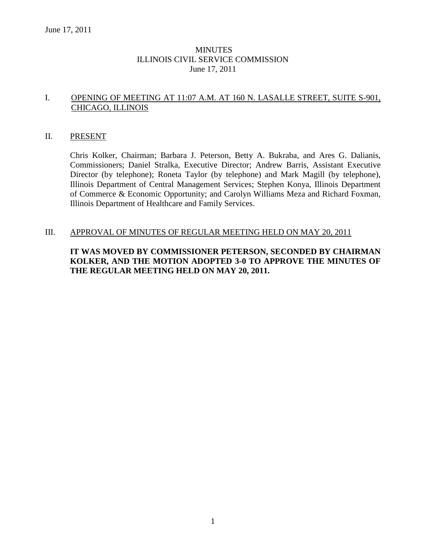# MINUTES ILLINOIS CIVIL SERVICE COMMISSION June 17, 2011

# I. OPENING OF MEETING AT 11:07 A.M. AT 160 N. LASALLE STREET, SUITE S-901, CHICAGO, ILLINOIS

### II. PRESENT

Chris Kolker, Chairman; Barbara J. Peterson, Betty A. Bukraba, and Ares G. Dalianis, Commissioners; Daniel Stralka, Executive Director; Andrew Barris, Assistant Executive Director (by telephone); Roneta Taylor (by telephone) and Mark Magill (by telephone), Illinois Department of Central Management Services; Stephen Konya, Illinois Department of Commerce & Economic Opportunity; and Carolyn Williams Meza and Richard Foxman, Illinois Department of Healthcare and Family Services.

# III. APPROVAL OF MINUTES OF REGULAR MEETING HELD ON MAY 20, 2011

# **IT WAS MOVED BY COMMISSIONER PETERSON, SECONDED BY CHAIRMAN KOLKER, AND THE MOTION ADOPTED 3-0 TO APPROVE THE MINUTES OF THE REGULAR MEETING HELD ON MAY 20, 2011.**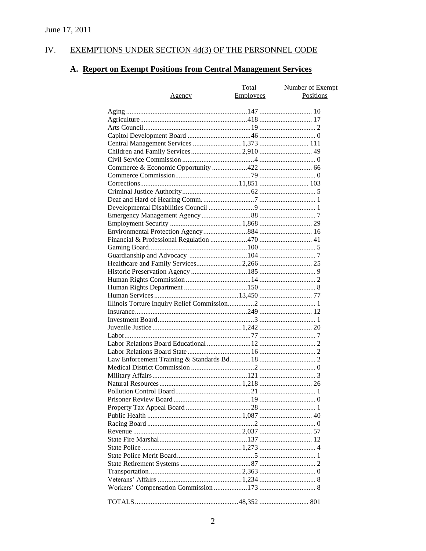#### IV. EXEMPTIONS UNDER SECTION 4d(3) OF THE PERSONNEL CODE

# A. Report on Exempt Positions from Central Management Services

|                                        | Total            | Number of Exempt |
|----------------------------------------|------------------|------------------|
| <u>Agency</u>                          | <b>Employees</b> | <b>Positions</b> |
|                                        |                  |                  |
|                                        |                  |                  |
|                                        |                  |                  |
|                                        |                  |                  |
|                                        |                  |                  |
| Central Management Services 1,373  111 |                  |                  |
| Children and Family Services2,910 49   |                  |                  |
|                                        |                  |                  |
|                                        |                  |                  |
|                                        |                  |                  |
|                                        |                  |                  |
|                                        |                  |                  |
|                                        |                  |                  |
|                                        |                  |                  |
|                                        |                  |                  |
|                                        |                  |                  |
|                                        |                  |                  |
|                                        |                  |                  |
|                                        |                  |                  |
|                                        |                  |                  |
|                                        |                  |                  |
|                                        |                  |                  |
|                                        |                  |                  |
|                                        |                  |                  |
|                                        |                  |                  |
|                                        |                  |                  |
|                                        |                  |                  |
|                                        |                  |                  |
|                                        |                  |                  |
|                                        |                  |                  |
|                                        |                  |                  |
|                                        |                  |                  |
|                                        |                  |                  |
|                                        |                  |                  |
|                                        |                  |                  |
|                                        |                  |                  |
|                                        |                  |                  |
|                                        |                  |                  |
|                                        |                  |                  |
|                                        |                  |                  |
|                                        |                  |                  |
|                                        |                  |                  |
|                                        |                  |                  |
|                                        |                  |                  |
|                                        |                  |                  |
|                                        |                  |                  |
|                                        |                  |                  |
|                                        |                  |                  |
|                                        |                  |                  |
|                                        |                  |                  |
|                                        |                  |                  |
|                                        |                  |                  |
|                                        |                  |                  |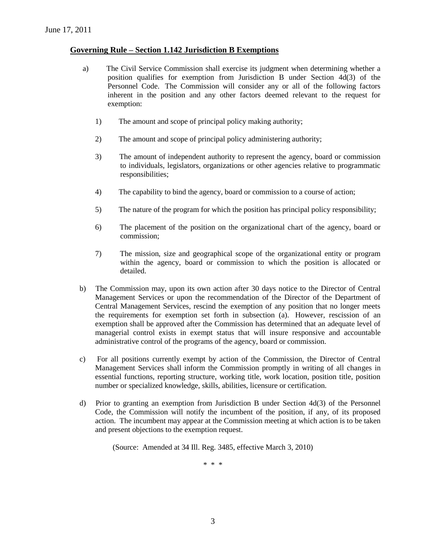# **Governing Rule – Section 1.142 Jurisdiction B Exemptions**

- a) The Civil Service Commission shall exercise its judgment when determining whether a position qualifies for exemption from Jurisdiction B under Section 4d(3) of the Personnel Code. The Commission will consider any or all of the following factors inherent in the position and any other factors deemed relevant to the request for exemption:
	- 1) The amount and scope of principal policy making authority;
	- 2) The amount and scope of principal policy administering authority;
	- 3) The amount of independent authority to represent the agency, board or commission to individuals, legislators, organizations or other agencies relative to programmatic responsibilities;
	- 4) The capability to bind the agency, board or commission to a course of action;
	- 5) The nature of the program for which the position has principal policy responsibility;
	- 6) The placement of the position on the organizational chart of the agency, board or commission;
	- 7) The mission, size and geographical scope of the organizational entity or program within the agency, board or commission to which the position is allocated or detailed.
- b) The Commission may, upon its own action after 30 days notice to the Director of Central Management Services or upon the recommendation of the Director of the Department of Central Management Services, rescind the exemption of any position that no longer meets the requirements for exemption set forth in subsection (a). However, rescission of an exemption shall be approved after the Commission has determined that an adequate level of managerial control exists in exempt status that will insure responsive and accountable administrative control of the programs of the agency, board or commission.
- c) For all positions currently exempt by action of the Commission, the Director of Central Management Services shall inform the Commission promptly in writing of all changes in essential functions, reporting structure, working title, work location, position title, position number or specialized knowledge, skills, abilities, licensure or certification.
- d) Prior to granting an exemption from Jurisdiction B under Section 4d(3) of the Personnel Code, the Commission will notify the incumbent of the position, if any, of its proposed action. The incumbent may appear at the Commission meeting at which action is to be taken and present objections to the exemption request.

(Source: Amended at 34 Ill. Reg. 3485, effective March 3, 2010)

\* \* \*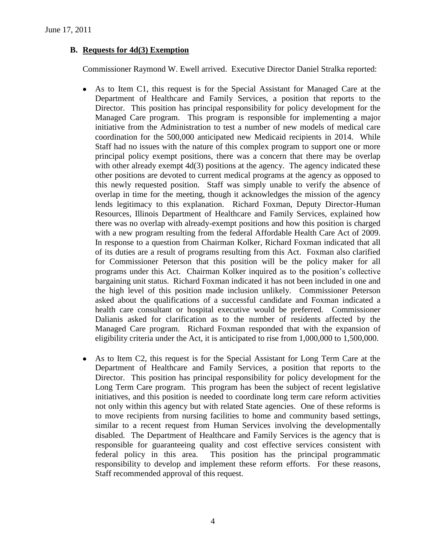# **B. Requests for 4d(3) Exemption**

Commissioner Raymond W. Ewell arrived. Executive Director Daniel Stralka reported:

- As to Item C1, this request is for the Special Assistant for Managed Care at the  $\bullet$ Department of Healthcare and Family Services, a position that reports to the Director. This position has principal responsibility for policy development for the Managed Care program. This program is responsible for implementing a major initiative from the Administration to test a number of new models of medical care coordination for the 500,000 anticipated new Medicaid recipients in 2014. While Staff had no issues with the nature of this complex program to support one or more principal policy exempt positions, there was a concern that there may be overlap with other already exempt 4d(3) positions at the agency. The agency indicated these other positions are devoted to current medical programs at the agency as opposed to this newly requested position. Staff was simply unable to verify the absence of overlap in time for the meeting, though it acknowledges the mission of the agency lends legitimacy to this explanation. Richard Foxman, Deputy Director-Human Resources, Illinois Department of Healthcare and Family Services, explained how there was no overlap with already-exempt positions and how this position is charged with a new program resulting from the federal Affordable Health Care Act of 2009. In response to a question from Chairman Kolker, Richard Foxman indicated that all of its duties are a result of programs resulting from this Act. Foxman also clarified for Commissioner Peterson that this position will be the policy maker for all programs under this Act. Chairman Kolker inquired as to the position's collective bargaining unit status. Richard Foxman indicated it has not been included in one and the high level of this position made inclusion unlikely. Commissioner Peterson asked about the qualifications of a successful candidate and Foxman indicated a health care consultant or hospital executive would be preferred. Commissioner Dalianis asked for clarification as to the number of residents affected by the Managed Care program. Richard Foxman responded that with the expansion of eligibility criteria under the Act, it is anticipated to rise from 1,000,000 to 1,500,000.
- As to Item C2, this request is for the Special Assistant for Long Term Care at the  $\bullet$ Department of Healthcare and Family Services, a position that reports to the Director. This position has principal responsibility for policy development for the Long Term Care program. This program has been the subject of recent legislative initiatives, and this position is needed to coordinate long term care reform activities not only within this agency but with related State agencies. One of these reforms is to move recipients from nursing facilities to home and community based settings, similar to a recent request from Human Services involving the developmentally disabled. The Department of Healthcare and Family Services is the agency that is responsible for guaranteeing quality and cost effective services consistent with federal policy in this area. This position has the principal programmatic responsibility to develop and implement these reform efforts. For these reasons, Staff recommended approval of this request.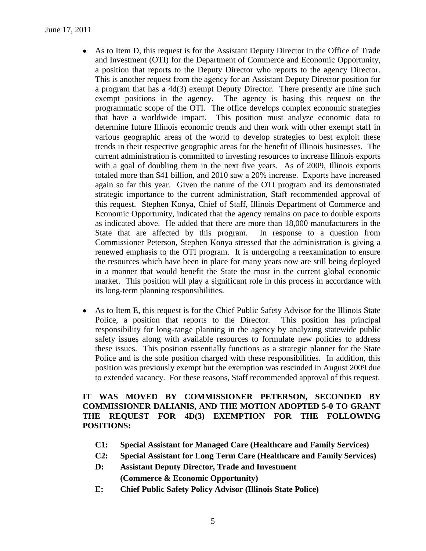June 17, 2011

- As to Item D, this request is for the Assistant Deputy Director in the Office of Trade  $\bullet$ and Investment (OTI) for the Department of Commerce and Economic Opportunity, a position that reports to the Deputy Director who reports to the agency Director. This is another request from the agency for an Assistant Deputy Director position for a program that has a 4d(3) exempt Deputy Director. There presently are nine such exempt positions in the agency. The agency is basing this request on the programmatic scope of the OTI. The office develops complex economic strategies that have a worldwide impact. This position must analyze economic data to determine future Illinois economic trends and then work with other exempt staff in various geographic areas of the world to develop strategies to best exploit these trends in their respective geographic areas for the benefit of Illinois businesses. The current administration is committed to investing resources to increase Illinois exports with a goal of doubling them in the next five years. As of 2009, Illinois exports totaled more than \$41 billion, and 2010 saw a 20% increase. Exports have increased again so far this year. Given the nature of the OTI program and its demonstrated strategic importance to the current administration, Staff recommended approval of this request. Stephen Konya, Chief of Staff, Illinois Department of Commerce and Economic Opportunity, indicated that the agency remains on pace to double exports as indicated above. He added that there are more than 18,000 manufacturers in the State that are affected by this program. In response to a question from Commissioner Peterson, Stephen Konya stressed that the administration is giving a renewed emphasis to the OTI program. It is undergoing a reexamination to ensure the resources which have been in place for many years now are still being deployed in a manner that would benefit the State the most in the current global economic market. This position will play a significant role in this process in accordance with its long-term planning responsibilities.
- As to Item E, this request is for the Chief Public Safety Advisor for the Illinois State  $\bullet$ Police, a position that reports to the Director. This position has principal responsibility for long-range planning in the agency by analyzing statewide public safety issues along with available resources to formulate new policies to address these issues. This position essentially functions as a strategic planner for the State Police and is the sole position charged with these responsibilities. In addition, this position was previously exempt but the exemption was rescinded in August 2009 due to extended vacancy. For these reasons, Staff recommended approval of this request.

# **IT WAS MOVED BY COMMISSIONER PETERSON, SECONDED BY COMMISSIONER DALIANIS, AND THE MOTION ADOPTED 5-0 TO GRANT THE REQUEST FOR 4D(3) EXEMPTION FOR THE FOLLOWING POSITIONS:**

- **C1: Special Assistant for Managed Care (Healthcare and Family Services)**
- **C2: Special Assistant for Long Term Care (Healthcare and Family Services)**
- **D: Assistant Deputy Director, Trade and Investment (Commerce & Economic Opportunity)**
- **E: Chief Public Safety Policy Advisor (Illinois State Police)**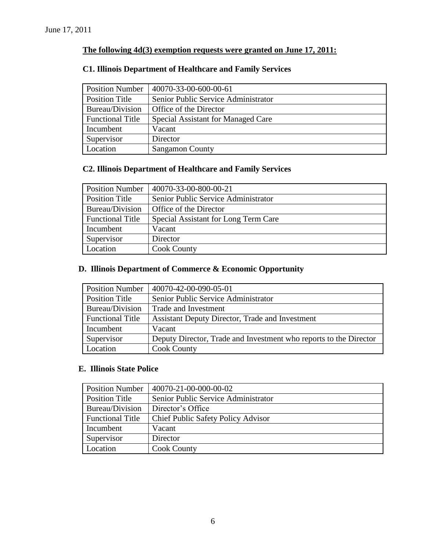# **The following 4d(3) exemption requests were granted on June 17, 2011:**

# **C1. Illinois Department of Healthcare and Family Services**

| <b>Position Number</b>  | 40070-33-00-600-00-61               |
|-------------------------|-------------------------------------|
| Position Title          | Senior Public Service Administrator |
| Bureau/Division         | Office of the Director              |
| <b>Functional Title</b> | Special Assistant for Managed Care  |
| Incumbent               | Vacant                              |
| Supervisor              | Director                            |
| Location                | <b>Sangamon County</b>              |

# **C2. Illinois Department of Healthcare and Family Services**

| <b>Position Number</b>  | 40070-33-00-800-00-21                |
|-------------------------|--------------------------------------|
| <b>Position Title</b>   | Senior Public Service Administrator  |
| Bureau/Division         | Office of the Director               |
| <b>Functional Title</b> | Special Assistant for Long Term Care |
| Incumbent               | Vacant                               |
| Supervisor              | Director                             |
| Location                | <b>Cook County</b>                   |

# **D. Illinois Department of Commerce & Economic Opportunity**

| <b>Position Number</b>  | 40070-42-00-090-05-01                                             |
|-------------------------|-------------------------------------------------------------------|
| <b>Position Title</b>   | Senior Public Service Administrator                               |
| Bureau/Division         | Trade and Investment                                              |
| <b>Functional Title</b> | <b>Assistant Deputy Director, Trade and Investment</b>            |
| Incumbent               | Vacant                                                            |
| Supervisor              | Deputy Director, Trade and Investment who reports to the Director |
| Location                | <b>Cook County</b>                                                |

# **E. Illinois State Police**

| <b>Position Number</b>  | 40070-21-00-000-00-02                     |
|-------------------------|-------------------------------------------|
| Position Title          | Senior Public Service Administrator       |
| Bureau/Division         | Director's Office                         |
| <b>Functional Title</b> | <b>Chief Public Safety Policy Advisor</b> |
| Incumbent               | Vacant                                    |
| Supervisor              | Director                                  |
| Location                | <b>Cook County</b>                        |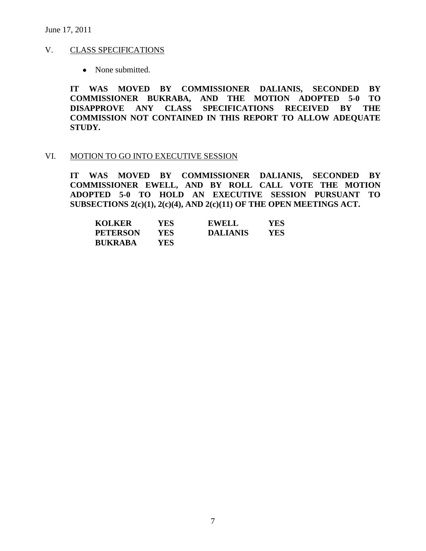June 17, 2011

#### V. CLASS SPECIFICATIONS

• None submitted.

**IT WAS MOVED BY COMMISSIONER DALIANIS, SECONDED BY COMMISSIONER BUKRABA, AND THE MOTION ADOPTED 5-0 TO DISAPPROVE ANY CLASS SPECIFICATIONS RECEIVED BY THE COMMISSION NOT CONTAINED IN THIS REPORT TO ALLOW ADEQUATE STUDY.** 

#### VI. MOTION TO GO INTO EXECUTIVE SESSION

**IT WAS MOVED BY COMMISSIONER DALIANIS, SECONDED BY COMMISSIONER EWELL, AND BY ROLL CALL VOTE THE MOTION ADOPTED 5-0 TO HOLD AN EXECUTIVE SESSION PURSUANT TO SUBSECTIONS 2(c)(1), 2(c)(4), AND 2(c)(11) OF THE OPEN MEETINGS ACT.** 

| <b>KOLKER</b>   | YES ! | <b>EWELL</b>    | YES |
|-----------------|-------|-----------------|-----|
| <b>PETERSON</b> | YES   | <b>DALIANIS</b> | YES |
| <b>BUKRABA</b>  | YES-  |                 |     |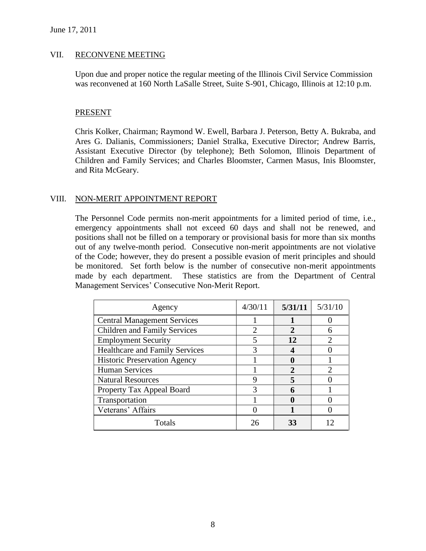### VII. RECONVENE MEETING

Upon due and proper notice the regular meeting of the Illinois Civil Service Commission was reconvened at 160 North LaSalle Street, Suite S-901, Chicago, Illinois at 12:10 p.m.

### PRESENT

Chris Kolker, Chairman; Raymond W. Ewell, Barbara J. Peterson, Betty A. Bukraba, and Ares G. Dalianis, Commissioners; Daniel Stralka, Executive Director; Andrew Barris, Assistant Executive Director (by telephone); Beth Solomon, Illinois Department of Children and Family Services; and Charles Bloomster, Carmen Masus, Inis Bloomster, and Rita McGeary.

# VIII. NON-MERIT APPOINTMENT REPORT

The Personnel Code permits non-merit appointments for a limited period of time, i.e., emergency appointments shall not exceed 60 days and shall not be renewed, and positions shall not be filled on a temporary or provisional basis for more than six months out of any twelve-month period. Consecutive non-merit appointments are not violative of the Code; however, they do present a possible evasion of merit principles and should be monitored. Set forth below is the number of consecutive non-merit appointments made by each department. These statistics are from the Department of Central Management Services' Consecutive Non-Merit Report.

| Agency                                | 4/30/11 | 5/31/11 | 5/31/10 |
|---------------------------------------|---------|---------|---------|
| <b>Central Management Services</b>    |         |         |         |
| <b>Children and Family Services</b>   |         | 2       |         |
| <b>Employment Security</b>            |         | 12      |         |
| <b>Healthcare and Family Services</b> |         |         |         |
| <b>Historic Preservation Agency</b>   |         |         |         |
| <b>Human Services</b>                 |         | 2       |         |
| <b>Natural Resources</b>              |         |         |         |
| Property Tax Appeal Board             |         | 6       |         |
| Transportation                        |         |         |         |
| Veterans' Affairs                     |         |         |         |
| Totals                                |         | 33      |         |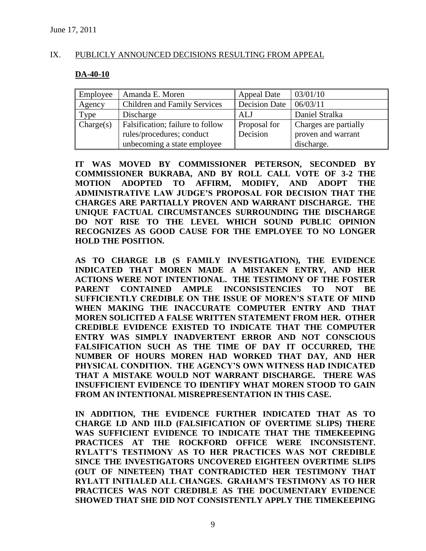### IX. PUBLICLY ANNOUNCED DECISIONS RESULTING FROM APPEAL

### **DA-40-10**

| Employee    | Amanda E. Moren                  | <b>Appeal Date</b>   | 03/01/10              |
|-------------|----------------------------------|----------------------|-----------------------|
| Agency      | Children and Family Services     | <b>Decision Date</b> | 06/03/11              |
| <b>Type</b> | Discharge                        | ALJ                  | Daniel Stralka        |
| Change(s)   | Falsification; failure to follow | Proposal for         | Charges are partially |
|             | rules/procedures; conduct        | Decision             | proven and warrant    |
|             | unbecoming a state employee      |                      | discharge.            |

**IT WAS MOVED BY COMMISSIONER PETERSON, SECONDED BY COMMISSIONER BUKRABA, AND BY ROLL CALL VOTE OF 3-2 THE MOTION ADOPTED TO AFFIRM, MODIFY, AND ADOPT THE ADMINISTRATIVE LAW JUDGE'S PROPOSAL FOR DECISION THAT THE CHARGES ARE PARTIALLY PROVEN AND WARRANT DISCHARGE. THE UNIQUE FACTUAL CIRCUMSTANCES SURROUNDING THE DISCHARGE DO NOT RISE TO THE LEVEL WHICH SOUND PUBLIC OPINION RECOGNIZES AS GOOD CAUSE FOR THE EMPLOYEE TO NO LONGER HOLD THE POSITION.** 

**AS TO CHARGE I.B (S FAMILY INVESTIGATION), THE EVIDENCE INDICATED THAT MOREN MADE A MISTAKEN ENTRY, AND HER ACTIONS WERE NOT INTENTIONAL. THE TESTIMONY OF THE FOSTER PARENT CONTAINED AMPLE INCONSISTENCIES TO NOT BE SUFFICIENTLY CREDIBLE ON THE ISSUE OF MOREN'S STATE OF MIND WHEN MAKING THE INACCURATE COMPUTER ENTRY AND THAT MOREN SOLICITED A FALSE WRITTEN STATEMENT FROM HER. OTHER CREDIBLE EVIDENCE EXISTED TO INDICATE THAT THE COMPUTER ENTRY WAS SIMPLY INADVERTENT ERROR AND NOT CONSCIOUS FALSIFICATION SUCH AS THE TIME OF DAY IT OCCURRED, THE NUMBER OF HOURS MOREN HAD WORKED THAT DAY, AND HER PHYSICAL CONDITION. THE AGENCY'S OWN WITNESS HAD INDICATED THAT A MISTAKE WOULD NOT WARRANT DISCHARGE. THERE WAS INSUFFICIENT EVIDENCE TO IDENTIFY WHAT MOREN STOOD TO GAIN FROM AN INTENTIONAL MISREPRESENTATION IN THIS CASE.** 

**IN ADDITION, THE EVIDENCE FURTHER INDICATED THAT AS TO CHARGE I.D AND III.D (FALSIFICATION OF OVERTIME SLIPS) THERE WAS SUFFICIENT EVIDENCE TO INDICATE THAT THE TIMEKEEPING PRACTICES AT THE ROCKFORD OFFICE WERE INCONSISTENT. RYLATT'S TESTIMONY AS TO HER PRACTICES WAS NOT CREDIBLE SINCE THE INVESTIGATORS UNCOVERED EIGHTEEN OVERTIME SLIPS (OUT OF NINETEEN) THAT CONTRADICTED HER TESTIMONY THAT RYLATT INITIALED ALL CHANGES. GRAHAM'S TESTIMONY AS TO HER PRACTICES WAS NOT CREDIBLE AS THE DOCUMENTARY EVIDENCE SHOWED THAT SHE DID NOT CONSISTENTLY APPLY THE TIMEKEEPING**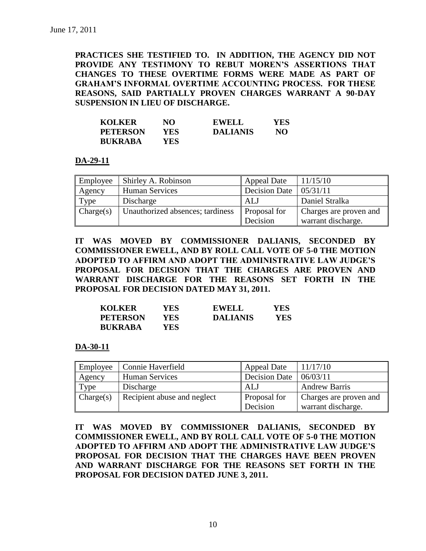**PRACTICES SHE TESTIFIED TO. IN ADDITION, THE AGENCY DID NOT PROVIDE ANY TESTIMONY TO REBUT MOREN'S ASSERTIONS THAT CHANGES TO THESE OVERTIME FORMS WERE MADE AS PART OF GRAHAM'S INFORMAL OVERTIME ACCOUNTING PROCESS. FOR THESE REASONS, SAID PARTIALLY PROVEN CHARGES WARRANT A 90-DAY SUSPENSION IN LIEU OF DISCHARGE.**

| <b>KOLKER</b>   | NО  | <b>EWELL</b>    | YES |
|-----------------|-----|-----------------|-----|
| <b>PETERSON</b> | YES | <b>DALIANIS</b> | NO  |
| <b>BUKRABA</b>  | YES |                 |     |

**DA-29-11**

| Employee  | Shirley A. Robinson              | <b>Appeal Date</b> | 11/15/10               |
|-----------|----------------------------------|--------------------|------------------------|
| Agency    | <b>Human Services</b>            | Decision Date      | 05/31/11               |
| Type      | Discharge                        | ALJ                | Daniel Stralka         |
| Change(s) | Unauthorized absences; tardiness | Proposal for       | Charges are proven and |
|           |                                  | Decision           | warrant discharge.     |

**IT WAS MOVED BY COMMISSIONER DALIANIS, SECONDED BY COMMISSIONER EWELL, AND BY ROLL CALL VOTE OF 5-0 THE MOTION ADOPTED TO AFFIRM AND ADOPT THE ADMINISTRATIVE LAW JUDGE'S PROPOSAL FOR DECISION THAT THE CHARGES ARE PROVEN AND WARRANT DISCHARGE FOR THE REASONS SET FORTH IN THE PROPOSAL FOR DECISION DATED MAY 31, 2011.**

| <b>KOLKER</b>   | YES.       | <b>EWELL</b>    | YES |
|-----------------|------------|-----------------|-----|
| <b>PETERSON</b> | YES.       | <b>DALIANIS</b> | YES |
| <b>BUKRABA</b>  | <b>YES</b> |                 |     |

**DA-30-11**

| Employee  | Connie Haverfield           | <b>Appeal Date</b>   | 11/17/10               |
|-----------|-----------------------------|----------------------|------------------------|
| Agency    | Human Services              | <b>Decision Date</b> | 06/03/11               |
| Type      | Discharge                   | ALJ                  | <b>Andrew Barris</b>   |
| Change(s) | Recipient abuse and neglect | <b>Proposal</b> for  | Charges are proven and |
|           |                             | Decision             | warrant discharge.     |

**IT WAS MOVED BY COMMISSIONER DALIANIS, SECONDED BY COMMISSIONER EWELL, AND BY ROLL CALL VOTE OF 5-0 THE MOTION ADOPTED TO AFFIRM AND ADOPT THE ADMINISTRATIVE LAW JUDGE'S PROPOSAL FOR DECISION THAT THE CHARGES HAVE BEEN PROVEN AND WARRANT DISCHARGE FOR THE REASONS SET FORTH IN THE PROPOSAL FOR DECISION DATED JUNE 3, 2011.**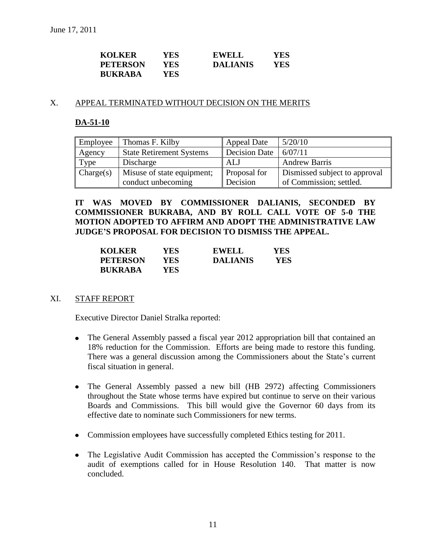| <b>KOLKER</b>   | YES- | <b>EWELL</b>    | <b>YES</b> |
|-----------------|------|-----------------|------------|
| <b>PETERSON</b> | YES  | <b>DALIANIS</b> | YES        |
| <b>BUKRABA</b>  | YES- |                 |            |

#### X. APPEAL TERMINATED WITHOUT DECISION ON THE MERITS

# **DA-51-10**

| Employee  | Thomas F. Kilby                 | <b>Appeal Date</b>  | 5/20/10                       |
|-----------|---------------------------------|---------------------|-------------------------------|
| Agency    | <b>State Retirement Systems</b> | Decision Date       | 6/07/11                       |
| Type      | Discharge                       | ALJ                 | <b>Andrew Barris</b>          |
| Change(s) | Misuse of state equipment;      | <b>Proposal for</b> | Dismissed subject to approval |
|           | conduct unbecoming              | Decision            | of Commission; settled.       |

**IT WAS MOVED BY COMMISSIONER DALIANIS, SECONDED BY COMMISSIONER BUKRABA, AND BY ROLL CALL VOTE OF 5-0 THE MOTION ADOPTED TO AFFIRM AND ADOPT THE ADMINISTRATIVE LAW JUDGE'S PROPOSAL FOR DECISION TO DISMISS THE APPEAL.**

| <b>KOLKER</b>   | YES. | <b>EWELL</b>    | YES        |
|-----------------|------|-----------------|------------|
| <b>PETERSON</b> | YES  | <b>DALIANIS</b> | <b>YES</b> |
| <b>BUKRABA</b>  | YES  |                 |            |

### XI. STAFF REPORT

Executive Director Daniel Stralka reported:

- The General Assembly passed a fiscal year 2012 appropriation bill that contained an 18% reduction for the Commission. Efforts are being made to restore this funding. There was a general discussion among the Commissioners about the State's current fiscal situation in general.
- The General Assembly passed a new bill (HB 2972) affecting Commissioners throughout the State whose terms have expired but continue to serve on their various Boards and Commissions. This bill would give the Governor 60 days from its effective date to nominate such Commissioners for new terms.
- Commission employees have successfully completed Ethics testing for 2011.
- The Legislative Audit Commission has accepted the Commission's response to the audit of exemptions called for in House Resolution 140. That matter is now concluded.